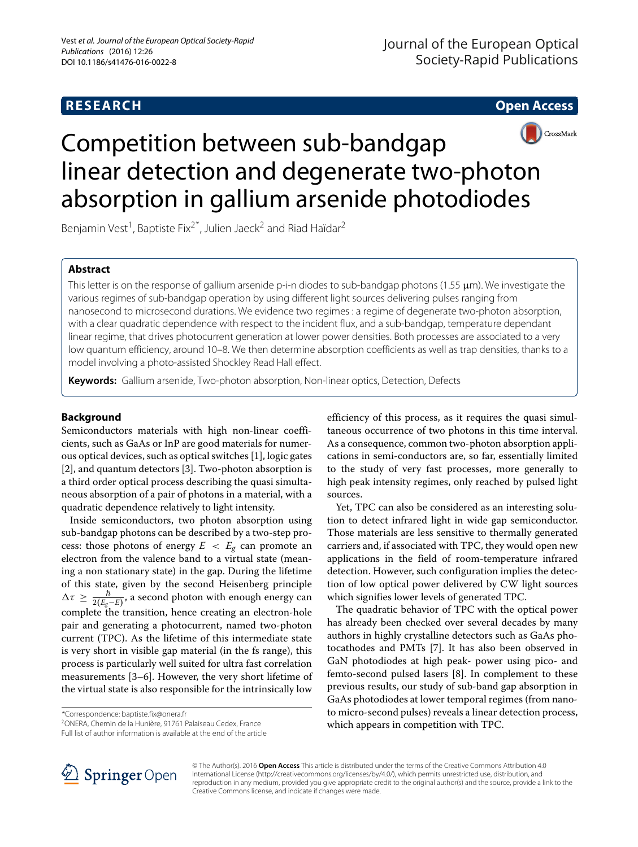**RESEARCH Open Access**



# Competition between sub-bandgap linear detection and degenerate two-photon absorption in gallium arsenide photodiodes

Benjamin Vest<sup>1</sup>, Baptiste Fix<sup>2\*</sup>, Julien Jaeck<sup>2</sup> and Riad Haïdar<sup>2</sup>

# **Abstract**

This letter is on the response of gallium arsenide p-i-n diodes to sub-bandgap photons (1.55  $\mu$ m). We investigate the various regimes of sub-bandgap operation by using different light sources delivering pulses ranging from nanosecond to microsecond durations. We evidence two regimes : a regime of degenerate two-photon absorption, with a clear quadratic dependence with respect to the incident flux, and a sub-bandgap, temperature dependant linear regime, that drives photocurrent generation at lower power densities. Both processes are associated to a very low quantum efficiency, around 10–8. We then determine absorption coefficients as well as trap densities, thanks to a model involving a photo-assisted Shockley Read Hall effect.

**Keywords:** Gallium arsenide, Two-photon absorption, Non-linear optics, Detection, Defects

# **Background**

Semiconductors materials with high non-linear coefficients, such as GaAs or InP are good materials for numerous optical devices, such as optical switches [\[1\]](#page-4-0), logic gates [\[2\]](#page-4-1), and quantum detectors [\[3\]](#page-4-2). Two-photon absorption is a third order optical process describing the quasi simultaneous absorption of a pair of photons in a material, with a quadratic dependence relatively to light intensity.

Inside semiconductors, two photon absorption using sub-bandgap photons can be described by a two-step process: those photons of energy  $E < E_g$  can promote an electron from the valence band to a virtual state (meaning a non stationary state) in the gap. During the lifetime of this state, given by the second Heisenberg principle  $\Delta \tau \geq \frac{\hbar}{2(E_g-E)}$ , a second photon with enough energy can complete the transition, hence creating an electron-hole pair and generating a photocurrent, named two-photon current (TPC). As the lifetime of this intermediate state is very short in visible gap material (in the fs range), this process is particularly well suited for ultra fast correlation measurements [\[3–](#page-4-2)[6\]](#page-4-3). However, the very short lifetime of the virtual state is also responsible for the intrinsically low

\*Correspondence: [baptiste.fix@onera.fr](mailto: baptiste.fix@onera.fr)

2ONERA, Chemin de la Hunière, 91761 Palaiseau Cedex, France

Full list of author information is available at the end of the article

efficiency of this process, as it requires the quasi simultaneous occurrence of two photons in this time interval. As a consequence, common two-photon absorption applications in semi-conductors are, so far, essentially limited to the study of very fast processes, more generally to high peak intensity regimes, only reached by pulsed light sources.

Yet, TPC can also be considered as an interesting solution to detect infrared light in wide gap semiconductor. Those materials are less sensitive to thermally generated carriers and, if associated with TPC, they would open new applications in the field of room-temperature infrared detection. However, such configuration implies the detection of low optical power delivered by CW light sources which signifies lower levels of generated TPC.

The quadratic behavior of TPC with the optical power has already been checked over several decades by many authors in highly crystalline detectors such as GaAs photocathodes and PMTs [\[7\]](#page-4-4). It has also been observed in GaN photodiodes at high peak- power using pico- and femto-second pulsed lasers [\[8\]](#page-4-5). In complement to these previous results, our study of sub-band gap absorption in GaAs photodiodes at lower temporal regimes (from nanoto micro-second pulses) reveals a linear detection process, which appears in competition with TPC.



© The Author(s). 2016 **Open Access** This article is distributed under the terms of the Creative Commons Attribution 4.0 International License [\(http://creativecommons.org/licenses/by/4.0/\)](http://creativecommons.org/licenses/by/4.0/), which permits unrestricted use, distribution, and reproduction in any medium, provided you give appropriate credit to the original author(s) and the source, provide a link to the Creative Commons license, and indicate if changes were made.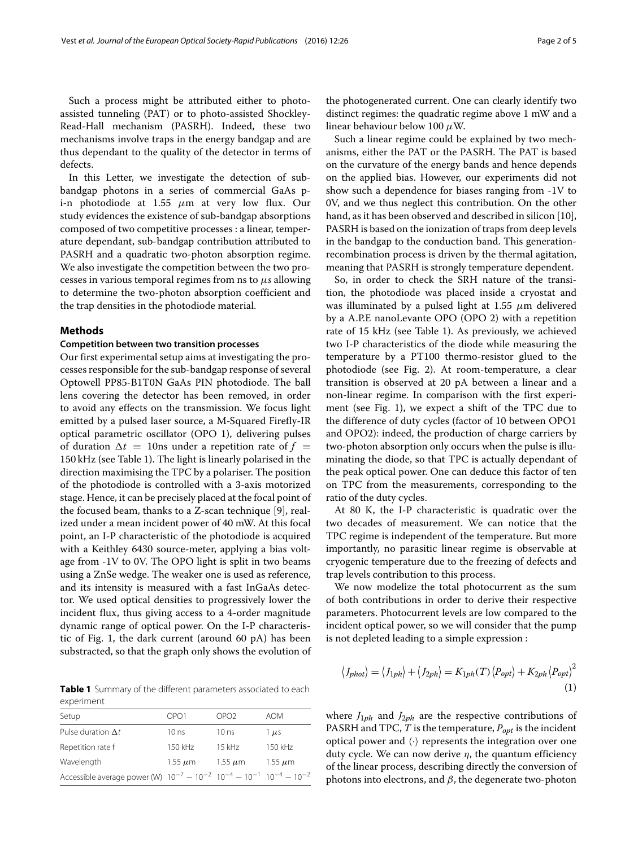Such a process might be attributed either to photoassisted tunneling (PAT) or to photo-assisted Shockley-Read-Hall mechanism (PASRH). Indeed, these two mechanisms involve traps in the energy bandgap and are thus dependant to the quality of the detector in terms of defects.

In this Letter, we investigate the detection of subbandgap photons in a series of commercial GaAs pi-n photodiode at 1.55  $\mu$ m at very low flux. Our study evidences the existence of sub-bandgap absorptions composed of two competitive processes : a linear, temperature dependant, sub-bandgap contribution attributed to PASRH and a quadratic two-photon absorption regime. We also investigate the competition between the two processes in various temporal regimes from ns to μ*s* allowing to determine the two-photon absorption coefficient and the trap densities in the photodiode material.

#### **Methods**

#### **Competition between two transition processes**

Our first experimental setup aims at investigating the processes responsible for the sub-bandgap response of several Optowell PP85-B1T0N GaAs PIN photodiode. The ball lens covering the detector has been removed, in order to avoid any effects on the transmission. We focus light emitted by a pulsed laser source, a M-Squared Firefly-IR optical parametric oscillator (OPO 1), delivering pulses of duration  $\Delta t = 10$ ns under a repetition rate of  $f =$ 150 kHz (see Table [1\)](#page-1-0). The light is linearly polarised in the direction maximising the TPC by a polariser. The position of the photodiode is controlled with a 3-axis motorized stage. Hence, it can be precisely placed at the focal point of the focused beam, thanks to a Z-scan technique [\[9\]](#page-4-6), realized under a mean incident power of 40 mW. At this focal point, an I-P characteristic of the photodiode is acquired with a Keithley 6430 source-meter, applying a bias voltage from -1V to 0V. The OPO light is split in two beams using a ZnSe wedge. The weaker one is used as reference, and its intensity is measured with a fast InGaAs detector. We used optical densities to progressively lower the incident flux, thus giving access to a 4-order magnitude dynamic range of optical power. On the I-P characteristic of Fig. [1,](#page-2-0) the dark current (around 60 pA) has been substracted, so that the graph only shows the evolution of

<span id="page-1-0"></span>**Table 1** Summary of the different parameters associated to each experiment

| Setup                                                                                    | OPO1             | OPO <sub>2</sub> | <b>AOM</b>   |
|------------------------------------------------------------------------------------------|------------------|------------------|--------------|
| Pulse duration $\Delta t$                                                                | 10 <sub>ns</sub> | 10 <sub>ns</sub> | $1 \mu s$    |
| Repetition rate f                                                                        | 150 kHz          | $15$ kHz         | 150 kHz      |
| Wavelength                                                                               | $1.55 \mu m$     | 1.55 $\mu$ m     | $1.55 \mu m$ |
| Accessible average power (W) $10^{-7} - 10^{-2}$ $10^{-4} - 10^{-1}$ $10^{-4} - 10^{-2}$ |                  |                  |              |

the photogenerated current. One can clearly identify two distinct regimes: the quadratic regime above 1 mW and a linear behaviour below 100  $\mu$ W.

Such a linear regime could be explained by two mechanisms, either the PAT or the PASRH. The PAT is based on the curvature of the energy bands and hence depends on the applied bias. However, our experiments did not show such a dependence for biases ranging from -1V to 0V, and we thus neglect this contribution. On the other hand, as it has been observed and described in silicon [\[10\]](#page-4-7), PASRH is based on the ionization of traps from deep levels in the bandgap to the conduction band. This generationrecombination process is driven by the thermal agitation, meaning that PASRH is strongly temperature dependent.

So, in order to check the SRH nature of the transition, the photodiode was placed inside a cryostat and was illuminated by a pulsed light at 1.55  $\mu$ m delivered by a A.P.E nanoLevante OPO (OPO 2) with a repetition rate of 15 kHz (see Table [1\)](#page-1-0). As previously, we achieved two I-P characteristics of the diode while measuring the temperature by a PT100 thermo-resistor glued to the photodiode (see Fig. [2\)](#page-2-1). At room-temperature, a clear transition is observed at 20 pA between a linear and a non-linear regime. In comparison with the first experiment (see Fig. [1\)](#page-2-0), we expect a shift of the TPC due to the difference of duty cycles (factor of 10 between OPO1 and OPO2): indeed, the production of charge carriers by two-photon absorption only occurs when the pulse is illuminating the diode, so that TPC is actually dependant of the peak optical power. One can deduce this factor of ten on TPC from the measurements, corresponding to the ratio of the duty cycles.

At 80 K, the I-P characteristic is quadratic over the two decades of measurement. We can notice that the TPC regime is independent of the temperature. But more importantly, no parasitic linear regime is observable at cryogenic temperature due to the freezing of defects and trap levels contribution to this process.

We now modelize the total photocurrent as the sum of both contributions in order to derive their respective parameters. Photocurrent levels are low compared to the incident optical power, so we will consider that the pump is not depleted leading to a simple expression :

$$
\langle J_{phot} \rangle = \langle J_{1ph} \rangle + \langle J_{2ph} \rangle = K_{1ph}(T) \langle P_{opt} \rangle + K_{2ph} \langle P_{opt} \rangle^2
$$
\n(1)

where  $J_{1ph}$  and  $J_{2ph}$  are the respective contributions of PASRH and TPC,  $T$  is the temperature,  $P_{opt}$  is the incident optical power and  $\langle \cdot \rangle$  represents the integration over one duty cycle. We can now derive  $\eta$ , the quantum efficiency of the linear process, describing directly the conversion of photons into electrons, and  $β$ , the degenerate two-photon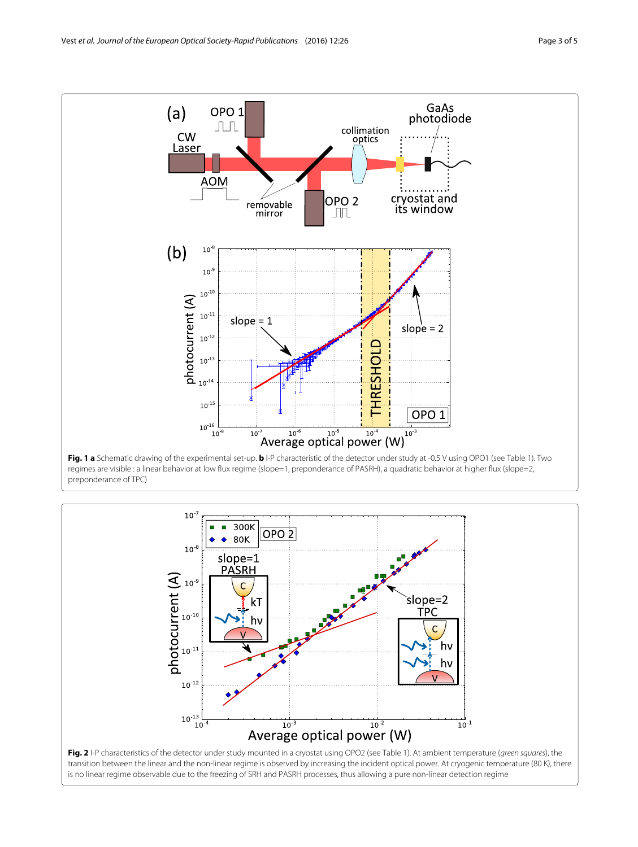

<span id="page-2-0"></span>preponderance of TPC)

<span id="page-2-1"></span>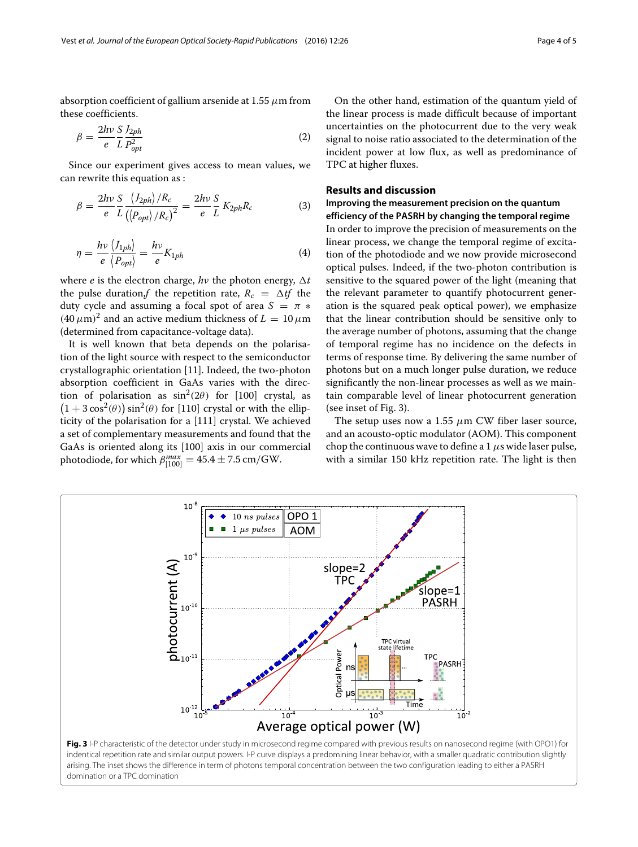absorption coefficient of gallium arsenide at 1.55  $\mu$ m from these coefficients.

$$
\beta = \frac{2h\nu}{e} \frac{S}{L} \frac{J_{2ph}}{P_{opt}^2} \tag{2}
$$

Since our experiment gives access to mean values, we can rewrite this equation as :

$$
\beta = \frac{2hv}{e} \frac{S}{L} \frac{\langle J_{2ph} \rangle / R_c}{\langle \langle P_{opt} \rangle / R_c \rangle^2} = \frac{2hv}{e} \frac{S}{L} K_{2ph} R_c \tag{3}
$$

$$
\eta = \frac{h\nu}{e} \frac{\langle I_{1ph} \rangle}{\langle P_{opt} \rangle} = \frac{h\nu}{e} K_{1ph} \tag{4}
$$

where *e* is the electron charge,  $h\nu$  the photon energy,  $\Delta t$ the pulse duration,  $f$  the repetition rate,  $R_c = \Delta t f$  the duty cycle and assuming a focal spot of area  $S = \pi *$  $(40 \mu m)^2$  and an active medium thickness of  $L = 10 \mu m$ (determined from capacitance-voltage data).

It is well known that beta depends on the polarisation of the light source with respect to the semiconductor crystallographic orientation [\[11\]](#page-4-8). Indeed, the two-photon absorption coefficient in GaAs varies with the direction of polarisation as  $\sin^2(2\theta)$  for [100] crystal, as  $(1 + 3\cos^2(\theta)) \sin^2(\theta)$  for [110] crystal or with the ellipticity of the polarisation for a [111] crystal. We achieved a set of complementary measurements and found that the GaAs is oriented along its [100] axis in our commercial photodiode, for which  $\beta_{[100]}^{max} = 45.4 \pm 7.5 \text{ cm/GW}.$ 

On the other hand, estimation of the quantum yield of the linear process is made difficult because of important uncertainties on the photocurrent due to the very weak signal to noise ratio associated to the determination of the incident power at low flux, as well as predominance of TPC at higher fluxes.

# **Results and discussion**

# **Improving the measurement precision on the quantum efficiency of the PASRH by changing the temporal regime**

In order to improve the precision of measurements on the linear process, we change the temporal regime of excitation of the photodiode and we now provide microsecond optical pulses. Indeed, if the two-photon contribution is sensitive to the squared power of the light (meaning that the relevant parameter to quantify photocurrent generation is the squared peak optical power), we emphasize that the linear contribution should be sensitive only to the average number of photons, assuming that the change of temporal regime has no incidence on the defects in terms of response time. By delivering the same number of photons but on a much longer pulse duration, we reduce significantly the non-linear processes as well as we maintain comparable level of linear photocurrent generation (see inset of Fig. [3\)](#page-3-0).

The setup uses now a 1.55  $\mu$ m CW fiber laser source, and an acousto-optic modulator (AOM). This component chop the continuous wave to define a 1  $\mu$ s wide laser pulse, with a similar 150 kHz repetition rate. The light is then

<span id="page-3-0"></span>